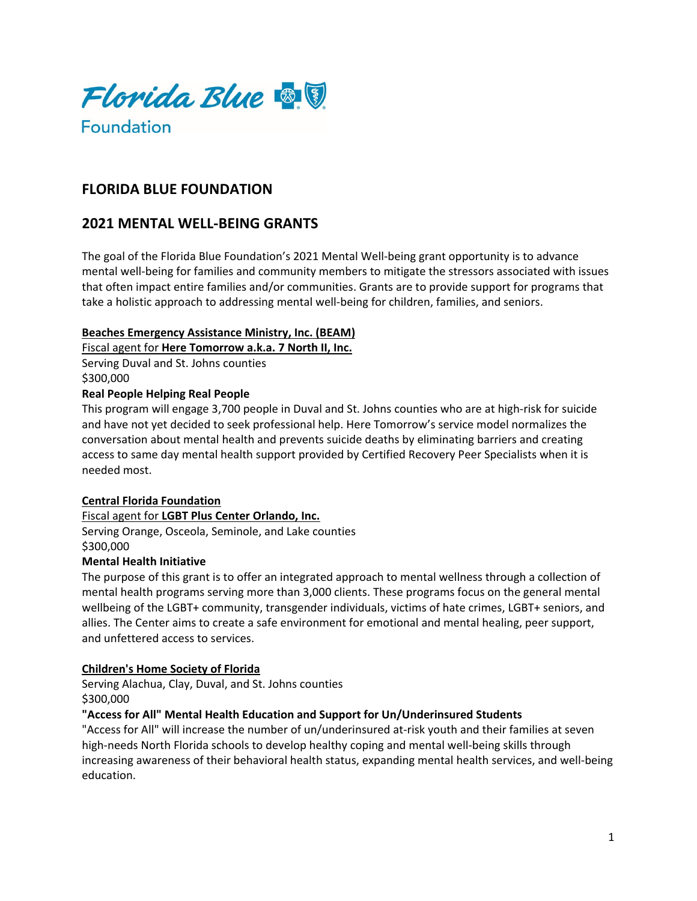

# **FLORIDA BLUE FOUNDATION**

# **2021 MENTAL WELL-BEING GRANTS**

The goal of the Florida Blue Foundation's 2021 Mental Well-being grant opportunity is to advance mental well-being for families and community members to mitigate the stressors associated with issues that often impact entire families and/or communities. Grants are to provide support for programs that take a holistic approach to addressing mental well-being for children, families, and seniors.

#### **Beaches Emergency Assistance Ministry, Inc. (BEAM)**

Fiscal agent for **Here Tomorrow a.k.a. 7 North II, Inc.**

Serving Duval and St. Johns counties \$300,000

# **Real People Helping Real People**

This program will engage 3,700 people in Duval and St. Johns counties who are at high-risk for suicide and have not yet decided to seek professional help. Here Tomorrow's service model normalizes the conversation about mental health and prevents suicide deaths by eliminating barriers and creating access to same day mental health support provided by Certified Recovery Peer Specialists when it is needed most.

## **Central Florida Foundation**

Fiscal agent for **LGBT Plus Center Orlando, Inc.** Serving Orange, Osceola, Seminole, and Lake counties \$300,000

## **Mental Health Initiative**

The purpose of this grant is to offer an integrated approach to mental wellness through a collection of mental health programs serving more than 3,000 clients. These programs focus on the general mental wellbeing of the LGBT+ community, transgender individuals, victims of hate crimes, LGBT+ seniors, and allies. The Center aims to create a safe environment for emotional and mental healing, peer support, and unfettered access to services.

## **Children's Home Society of Florida**

Serving Alachua, Clay, Duval, and St. Johns counties \$300,000

## **"Access for All" Mental Health Education and Support for Un/Underinsured Students**

"Access for All" will increase the number of un/underinsured at-risk youth and their families at seven high-needs North Florida schools to develop healthy coping and mental well-being skills through increasing awareness of their behavioral health status, expanding mental health services, and well-being education.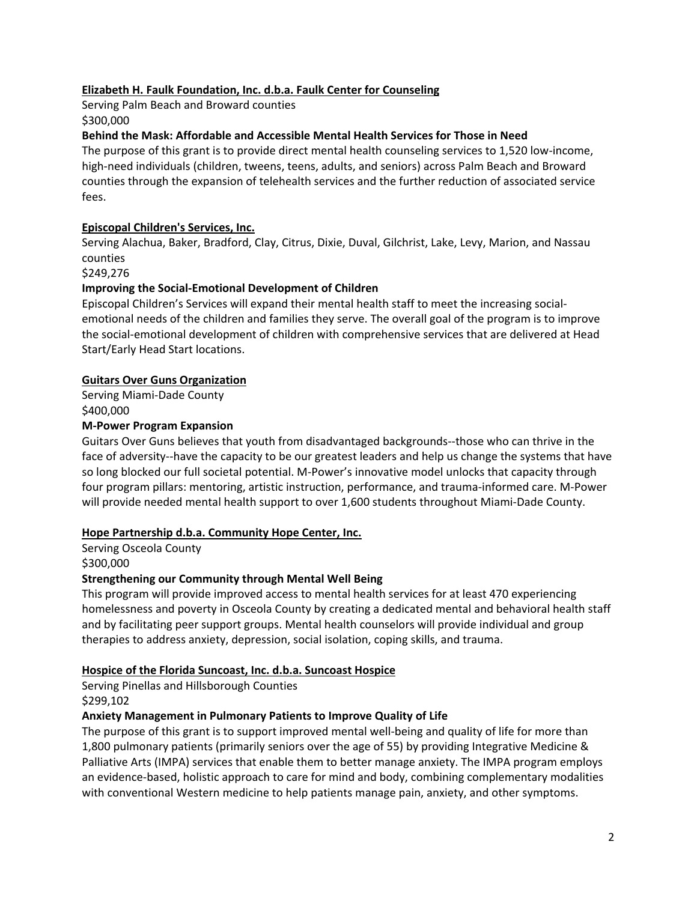# **Elizabeth H. Faulk Foundation, Inc. d.b.a. Faulk Center for Counseling**

Serving Palm Beach and Broward counties \$300,000

# **Behind the Mask: Affordable and Accessible Mental Health Services for Those in Need**

The purpose of this grant is to provide direct mental health counseling services to 1,520 low-income, high-need individuals (children, tweens, teens, adults, and seniors) across Palm Beach and Broward counties through the expansion of telehealth services and the further reduction of associated service fees.

# **Episcopal Children's Services, Inc.**

Serving Alachua, Baker, Bradford, Clay, Citrus, Dixie, Duval, Gilchrist, Lake, Levy, Marion, and Nassau counties

## \$249,276

# **Improving the Social-Emotional Development of Children**

Episcopal Children's Services will expand their mental health staff to meet the increasing socialemotional needs of the children and families they serve. The overall goal of the program is to improve the social-emotional development of children with comprehensive services that are delivered at Head Start/Early Head Start locations.

# **Guitars Over Guns Organization**

Serving Miami-Dade County

\$400,000

## **M-Power Program Expansion**

Guitars Over Guns believes that youth from disadvantaged backgrounds--those who can thrive in the face of adversity--have the capacity to be our greatest leaders and help us change the systems that have so long blocked our full societal potential. M-Power's innovative model unlocks that capacity through four program pillars: mentoring, artistic instruction, performance, and trauma-informed care. M-Power will provide needed mental health support to over 1,600 students throughout Miami-Dade County.

## **Hope Partnership d.b.a. Community Hope Center, Inc.**

Serving Osceola County \$300,000

## **Strengthening our Community through Mental Well Being**

This program will provide improved access to mental health services for at least 470 experiencing homelessness and poverty in Osceola County by creating a dedicated mental and behavioral health staff and by facilitating peer support groups. Mental health counselors will provide individual and group therapies to address anxiety, depression, social isolation, coping skills, and trauma.

## **Hospice of the Florida Suncoast, Inc. d.b.a. Suncoast Hospice**

Serving Pinellas and Hillsborough Counties \$299,102

## **Anxiety Management in Pulmonary Patients to Improve Quality of Life**

The purpose of this grant is to support improved mental well-being and quality of life for more than 1,800 pulmonary patients (primarily seniors over the age of 55) by providing Integrative Medicine & Palliative Arts (IMPA) services that enable them to better manage anxiety. The IMPA program employs an evidence-based, holistic approach to care for mind and body, combining complementary modalities with conventional Western medicine to help patients manage pain, anxiety, and other symptoms.